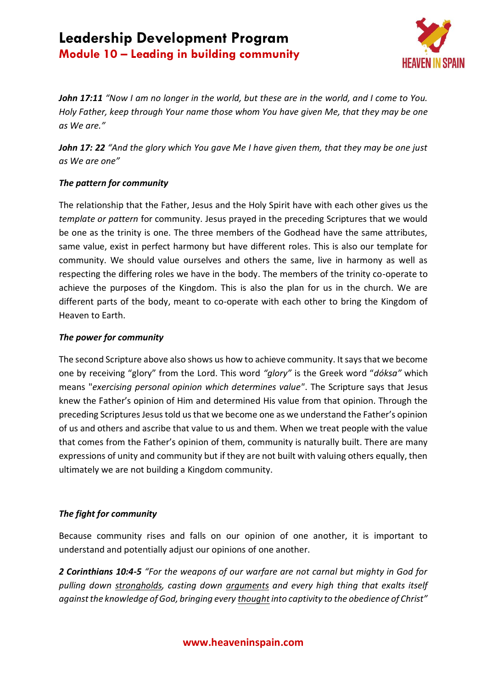

*John 17:11 "Now I am no longer in the world, but these are in the world, and I come to You. Holy Father, keep through Your name those whom You have given Me, that they may be one as We are."*

*John 17: 22 "And the glory which You gave Me I have given them, that they may be one just as We are one"*

## *The pattern for community*

The relationship that the Father, Jesus and the Holy Spirit have with each other gives us the *template or pattern* for community. Jesus prayed in the preceding Scriptures that we would be one as the trinity is one. The three members of the Godhead have the same attributes, same value, exist in perfect harmony but have different roles. This is also our template for community. We should value ourselves and others the same, live in harmony as well as respecting the differing roles we have in the body. The members of the trinity co-operate to achieve the purposes of the Kingdom. This is also the plan for us in the church. We are different parts of the body, meant to co-operate with each other to bring the Kingdom of Heaven to Earth.

### *The power for community*

The second Scripture above also shows us how to achieve community. It says that we become one by receiving "glory" from the Lord. This word *"glory"* is the Greek word "*dóksa"* which means "*exercising personal opinion which determines value"*. The Scripture says that Jesus knew the Father's opinion of Him and determined His value from that opinion. Through the preceding Scriptures Jesus told us that we become one as we understand the Father's opinion of us and others and ascribe that value to us and them. When we treat people with the value that comes from the Father's opinion of them, community is naturally built. There are many expressions of unity and community but if they are not built with valuing others equally, then ultimately we are not building a Kingdom community.

## *The fight for community*

Because community rises and falls on our opinion of one another, it is important to understand and potentially adjust our opinions of one another.

*2 Corinthians 10:4-5 "For the weapons of our warfare are not carnal but mighty in God for pulling down strongholds, casting down arguments and every high thing that exalts itself against the knowledge of God, bringing every thought into captivity to the obedience of Christ"*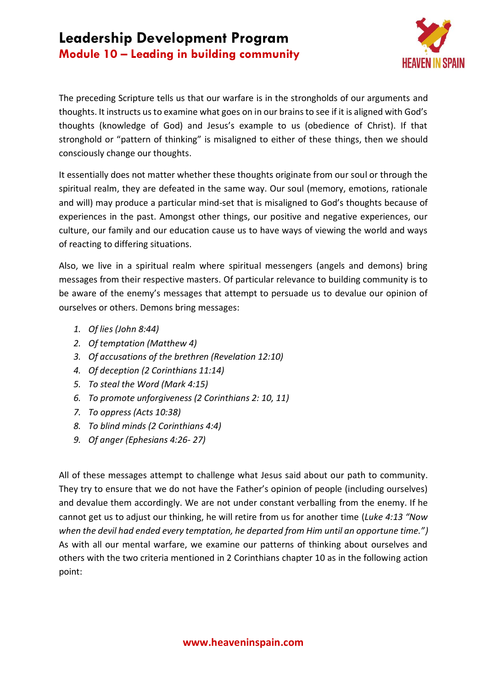

The preceding Scripture tells us that our warfare is in the strongholds of our arguments and thoughts. It instructs us to examine what goes on in our brains to see if it is aligned with God's thoughts (knowledge of God) and Jesus's example to us (obedience of Christ). If that stronghold or "pattern of thinking" is misaligned to either of these things, then we should consciously change our thoughts.

It essentially does not matter whether these thoughts originate from our soul or through the spiritual realm, they are defeated in the same way. Our soul (memory, emotions, rationale and will) may produce a particular mind-set that is misaligned to God's thoughts because of experiences in the past. Amongst other things, our positive and negative experiences, our culture, our family and our education cause us to have ways of viewing the world and ways of reacting to differing situations.

Also, we live in a spiritual realm where spiritual messengers (angels and demons) bring messages from their respective masters. Of particular relevance to building community is to be aware of the enemy's messages that attempt to persuade us to devalue our opinion of ourselves or others. Demons bring messages:

- *1. Of lies (John 8:44)*
- *2. Of temptation (Matthew 4)*
- *3. Of accusations of the brethren (Revelation 12:10)*
- *4. Of deception (2 Corinthians 11:14)*
- *5. To steal the Word (Mark 4:15)*
- *6. To promote unforgiveness (2 Corinthians 2: 10, 11)*
- *7. To oppress (Acts 10:38)*
- *8. To blind minds (2 Corinthians 4:4)*
- *9. Of anger (Ephesians 4:26- 27)*

All of these messages attempt to challenge what Jesus said about our path to community. They try to ensure that we do not have the Father's opinion of people (including ourselves) and devalue them accordingly. We are not under constant verballing from the enemy. If he cannot get us to adjust our thinking, he will retire from us for another time (*Luke 4:13 "Now when the devil had ended every temptation, he departed from Him until an opportune time.")* As with all our mental warfare, we examine our patterns of thinking about ourselves and others with the two criteria mentioned in 2 Corinthians chapter 10 as in the following action point: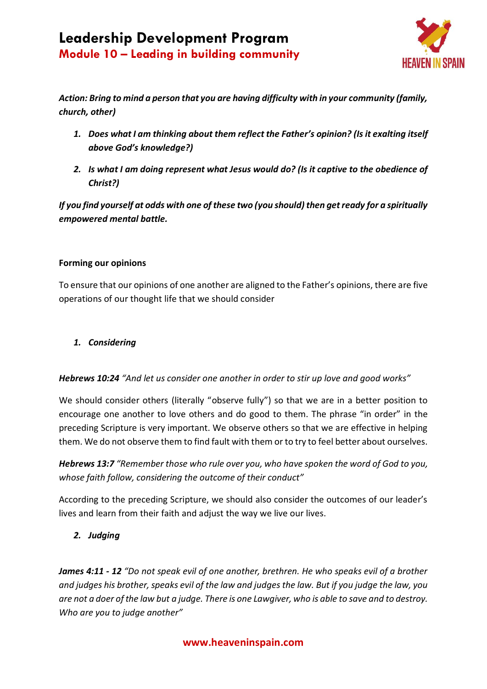

*Action: Bring to mind a person that you are having difficulty with in your community (family, church, other)*

- *1. Does what I am thinking about them reflect the Father's opinion? (Is it exalting itself above God's knowledge?)*
- *2. Is what I am doing represent what Jesus would do? (Is it captive to the obedience of Christ?)*

*If you find yourself at odds with one of these two (you should) then get ready for a spiritually empowered mental battle.*

### **Forming our opinions**

To ensure that our opinions of one another are aligned to the Father's opinions, there are five operations of our thought life that we should consider

## *1. Considering*

## *Hebrews 10:24 "And let us consider one another in order to stir up love and good works"*

We should consider others (literally "observe fully") so that we are in a better position to encourage one another to love others and do good to them. The phrase "in order" in the preceding Scripture is very important. We observe others so that we are effective in helping them. We do not observe them to find fault with them or to try to feel better about ourselves.

*Hebrews 13:7 "Remember those who rule over you, who have spoken the word of God to you, whose faith follow, considering the outcome of their conduct"*

According to the preceding Scripture, we should also consider the outcomes of our leader's lives and learn from their faith and adjust the way we live our lives.

## *2. Judging*

*James 4:11 - 12 "Do not speak evil of one another, brethren. He who speaks evil of a brother and judges his brother, speaks evil of the law and judges the law. But if you judge the law, you are not a doer of the law but a judge. There is one Lawgiver, who is able to save and to destroy. Who are you to judge another"*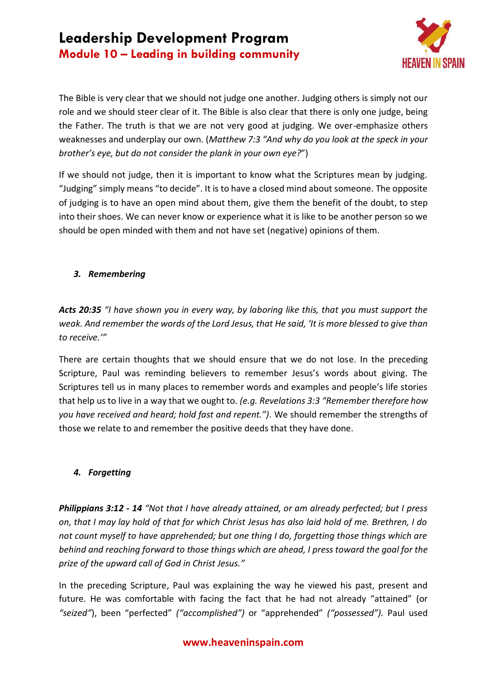

The Bible is very clear that we should not judge one another. Judging others is simply not our role and we should steer clear of it. The Bible is also clear that there is only one judge, being the Father. The truth is that we are not very good at judging. We over-emphasize others weaknesses and underplay our own. (*Matthew 7:3 "And why do you look at the speck in your brother's eye, but do not consider the plank in your own eye?*")

If we should not judge, then it is important to know what the Scriptures mean by judging. "Judging" simply means "to decide". It is to have a closed mind about someone. The opposite of judging is to have an open mind about them, give them the benefit of the doubt, to step into their shoes. We can never know or experience what it is like to be another person so we should be open minded with them and not have set (negative) opinions of them.

## *3. Remembering*

*Acts 20:35 "I have shown you in every way, by laboring like this, that you must support the weak. And remember the words of the Lord Jesus, that He said, 'It is more blessed to give than to receive.'"*

There are certain thoughts that we should ensure that we do not lose. In the preceding Scripture, Paul was reminding believers to remember Jesus's words about giving. The Scriptures tell us in many places to remember words and examples and people's life stories that help us to live in a way that we ought to. *(e.g. Revelations 3:3 "Remember therefore how you have received and heard; hold fast and repent.").* We should remember the strengths of those we relate to and remember the positive deeds that they have done.

## *4. Forgetting*

*Philippians 3:12 - 14 "Not that I have already attained, or am already perfected; but I press on, that I may lay hold of that for which Christ Jesus has also laid hold of me. Brethren, I do not count myself to have apprehended; but one thing I do, forgetting those things which are behind and reaching forward to those things which are ahead, I press toward the goal for the prize of the upward call of God in Christ Jesus."*

In the preceding Scripture, Paul was explaining the way he viewed his past, present and future. He was comfortable with facing the fact that he had not already "attained" (or *"seized"*), been "perfected" *("accomplished")* or "apprehended" *("possessed").* Paul used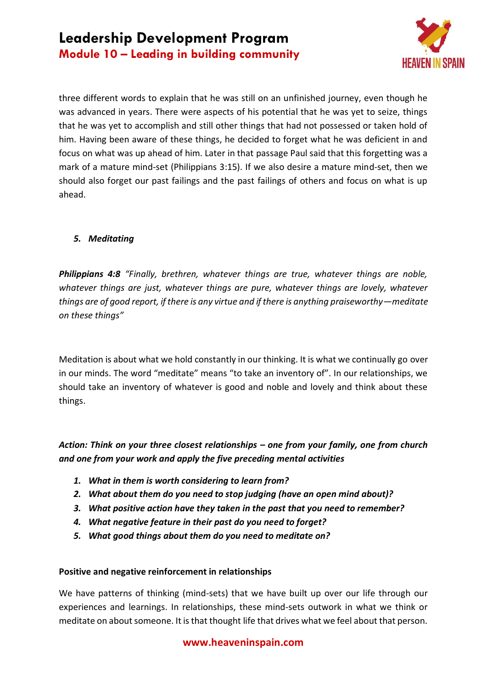

three different words to explain that he was still on an unfinished journey, even though he was advanced in years. There were aspects of his potential that he was yet to seize, things that he was yet to accomplish and still other things that had not possessed or taken hold of him. Having been aware of these things, he decided to forget what he was deficient in and focus on what was up ahead of him. Later in that passage Paul said that this forgetting was a mark of a mature mind-set (Philippians 3:15). If we also desire a mature mind-set, then we should also forget our past failings and the past failings of others and focus on what is up ahead.

## *5. Meditating*

*Philippians 4:8 "Finally, brethren, whatever things are true, whatever things are noble, whatever things are just, whatever things are pure, whatever things are lovely, whatever things are of good report, if there is any virtue and if there is anything praiseworthy—meditate on these things"*

Meditation is about what we hold constantly in our thinking. It is what we continually go over in our minds. The word "meditate" means "to take an inventory of". In our relationships, we should take an inventory of whatever is good and noble and lovely and think about these things.

*Action: Think on your three closest relationships – one from your family, one from church and one from your work and apply the five preceding mental activities*

- *1. What in them is worth considering to learn from?*
- *2. What about them do you need to stop judging (have an open mind about)?*
- *3. What positive action have they taken in the past that you need to remember?*
- *4. What negative feature in their past do you need to forget?*
- *5. What good things about them do you need to meditate on?*

### **Positive and negative reinforcement in relationships**

We have patterns of thinking (mind-sets) that we have built up over our life through our experiences and learnings. In relationships, these mind-sets outwork in what we think or meditate on about someone. It is that thought life that drives what we feel about that person.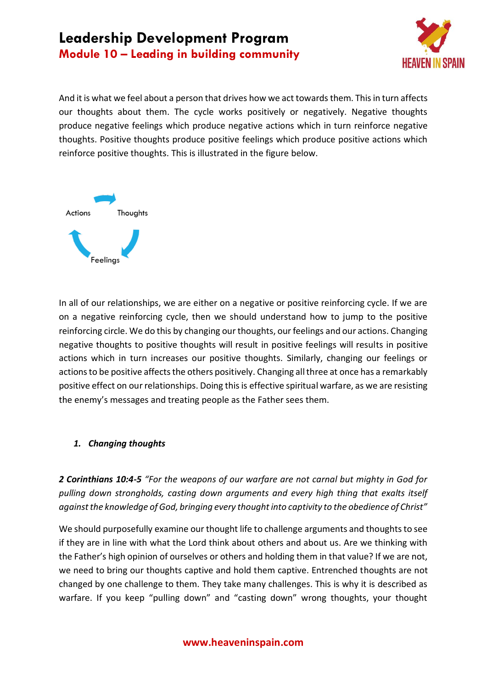

And it is what we feel about a person that drives how we act towards them. This in turn affects our thoughts about them. The cycle works positively or negatively. Negative thoughts produce negative feelings which produce negative actions which in turn reinforce negative thoughts. Positive thoughts produce positive feelings which produce positive actions which reinforce positive thoughts. This is illustrated in the figure below.



In all of our relationships, we are either on a negative or positive reinforcing cycle. If we are on a negative reinforcing cycle, then we should understand how to jump to the positive reinforcing circle. We do this by changing our thoughts, our feelings and our actions. Changing negative thoughts to positive thoughts will result in positive feelings will results in positive actions which in turn increases our positive thoughts. Similarly, changing our feelings or actions to be positive affects the others positively. Changing all three at once has a remarkably positive effect on our relationships. Doing this is effective spiritual warfare, as we are resisting the enemy's messages and treating people as the Father sees them.

### *1. Changing thoughts*

*2 Corinthians 10:4-5 "For the weapons of our warfare are not carnal but mighty in God for pulling down strongholds, casting down arguments and every high thing that exalts itself against the knowledge of God, bringing every thought into captivity to the obedience of Christ"*

We should purposefully examine our thought life to challenge arguments and thoughts to see if they are in line with what the Lord think about others and about us. Are we thinking with the Father's high opinion of ourselves or others and holding them in that value? If we are not, we need to bring our thoughts captive and hold them captive. Entrenched thoughts are not changed by one challenge to them. They take many challenges. This is why it is described as warfare. If you keep "pulling down" and "casting down" wrong thoughts, your thought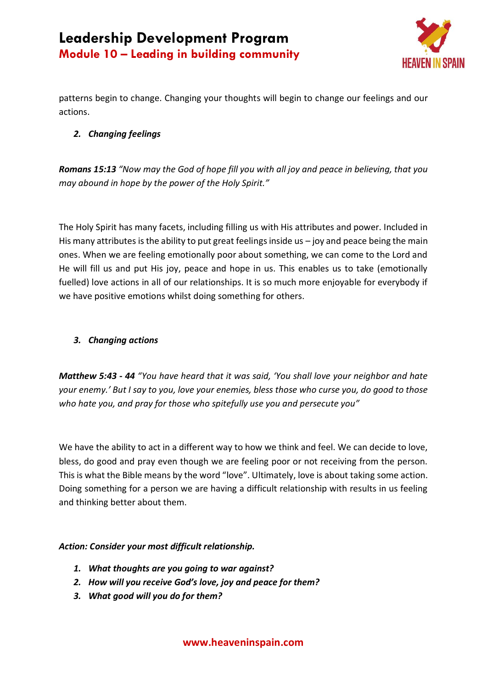

patterns begin to change. Changing your thoughts will begin to change our feelings and our actions.

## *2. Changing feelings*

*Romans 15:13 "Now may the God of hope fill you with all joy and peace in believing, that you may abound in hope by the power of the Holy Spirit."*

The Holy Spirit has many facets, including filling us with His attributes and power. Included in His many attributes is the ability to put great feelings inside us  $-$  joy and peace being the main ones. When we are feeling emotionally poor about something, we can come to the Lord and He will fill us and put His joy, peace and hope in us. This enables us to take (emotionally fuelled) love actions in all of our relationships. It is so much more enjoyable for everybody if we have positive emotions whilst doing something for others.

## *3. Changing actions*

*Matthew 5:43 - 44 "You have heard that it was said, 'You shall love your neighbor and hate your enemy.' But I say to you, love your enemies, bless those who curse you, do good to those who hate you, and pray for those who spitefully use you and persecute you"*

We have the ability to act in a different way to how we think and feel. We can decide to love, bless, do good and pray even though we are feeling poor or not receiving from the person. This is what the Bible means by the word "love". Ultimately, love is about taking some action. Doing something for a person we are having a difficult relationship with results in us feeling and thinking better about them.

## *Action: Consider your most difficult relationship.*

- *1. What thoughts are you going to war against?*
- *2. How will you receive God's love, joy and peace for them?*
- *3. What good will you do for them?*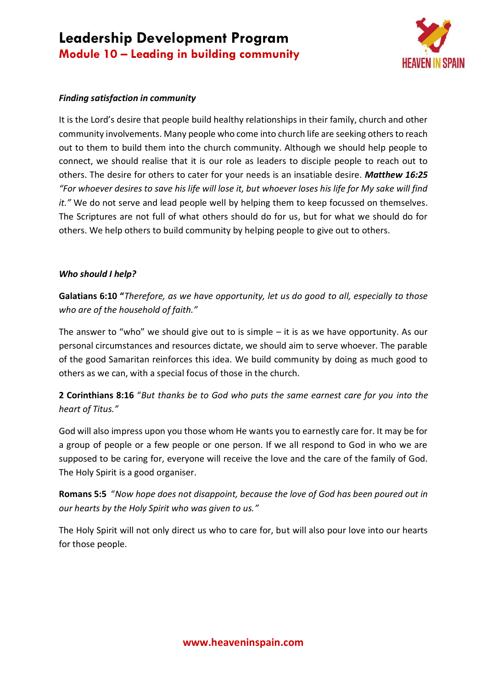

### *Finding satisfaction in community*

It is the Lord's desire that people build healthy relationships in their family, church and other community involvements. Many people who come into church life are seeking others to reach out to them to build them into the church community. Although we should help people to connect, we should realise that it is our role as leaders to disciple people to reach out to others. The desire for others to cater for your needs is an insatiable desire. *Matthew 16:25 "For whoever desires to save his life will lose it, but whoever loses his life for My sake will find it."* We do not serve and lead people well by helping them to keep focussed on themselves. The Scriptures are not full of what others should do for us, but for what we should do for others. We help others to build community by helping people to give out to others.

#### *Who should I help?*

**Galatians 6:10 "***Therefore, as we have opportunity, let us do good to all, especially to those who are of the household of faith."*

The answer to "who" we should give out to is simple  $-$  it is as we have opportunity. As our personal circumstances and resources dictate, we should aim to serve whoever. The parable of the good Samaritan reinforces this idea. We build community by doing as much good to others as we can, with a special focus of those in the church.

**2 Corinthians 8:16** "*But thanks be to God who puts the same earnest care for you into the heart of Titus."*

God will also impress upon you those whom He wants you to earnestly care for. It may be for a group of people or a few people or one person. If we all respond to God in who we are supposed to be caring for, everyone will receive the love and the care of the family of God. The Holy Spirit is a good organiser.

**Romans 5:5** "*Now hope does not disappoint, because the love of God has been poured out in our hearts by the Holy Spirit who was given to us."*

The Holy Spirit will not only direct us who to care for, but will also pour love into our hearts for those people.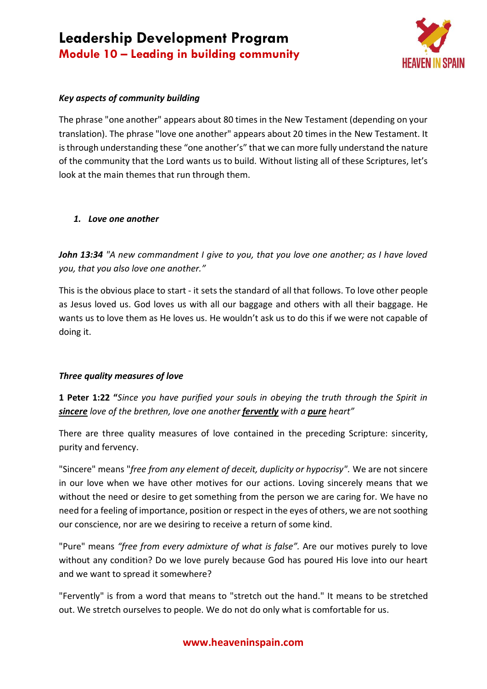

## *Key aspects of community building*

The phrase "one another" appears about 80 times in the New Testament (depending on your translation). The phrase "love one another" appears about 20 times in the New Testament. It is through understanding these "one another's" that we can more fully understand the nature of the community that the Lord wants us to build. Without listing all of these Scriptures, let's look at the main themes that run through them.

#### *1. Love one another*

*John 13:34 "A new commandment I give to you, that you love one another; as I have loved you, that you also love one another."*

This is the obvious place to start - it sets the standard of all that follows. To love other people as Jesus loved us. God loves us with all our baggage and others with all their baggage. He wants us to love them as He loves us. He wouldn't ask us to do this if we were not capable of doing it.

### *Three quality measures of love*

**1 Peter 1:22 "***Since you have purified your souls in obeying the truth through the Spirit in sincere love of the brethren, love one another fervently with a pure heart"*

There are three quality measures of love contained in the preceding Scripture: sincerity, purity and fervency.

"Sincere" means "*free from any element of deceit, duplicity or hypocrisy".* We are not sincere in our love when we have other motives for our actions. Loving sincerely means that we without the need or desire to get something from the person we are caring for. We have no need for a feeling of importance, position or respect in the eyes of others, we are not soothing our conscience, nor are we desiring to receive a return of some kind.

"Pure" means *"free from every admixture of what is false".* Are our motives purely to love without any condition? Do we love purely because God has poured His love into our heart and we want to spread it somewhere?

"Fervently" is from a word that means to "stretch out the hand." It means to be stretched out. We stretch ourselves to people. We do not do only what is comfortable for us.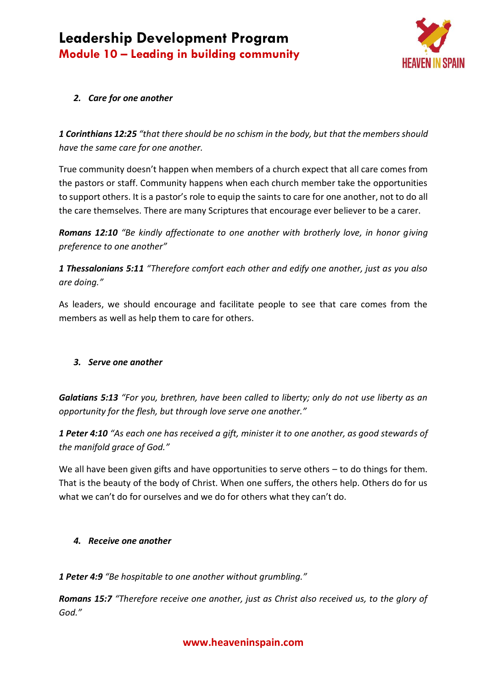

## *2. Care for one another*

*1 Corinthians 12:25 "that there should be no schism in the body, but that the members should have the same care for one another.*

True community doesn't happen when members of a church expect that all care comes from the pastors or staff. Community happens when each church member take the opportunities to support others. It is a pastor's role to equip the saints to care for one another, not to do all the care themselves. There are many Scriptures that encourage ever believer to be a carer.

*Romans 12:10 "Be kindly affectionate to one another with brotherly love, in honor giving preference to one another"*

*1 Thessalonians 5:11 "Therefore comfort each other and edify one another, just as you also are doing."*

As leaders, we should encourage and facilitate people to see that care comes from the members as well as help them to care for others.

### *3. Serve one another*

*Galatians 5:13 "For you, brethren, have been called to liberty; only do not use liberty as an opportunity for the flesh, but through love serve one another."*

*1 Peter 4:10 "As each one has received a gift, minister it to one another, as good stewards of the manifold grace of God."*

We all have been given gifts and have opportunities to serve others - to do things for them. That is the beauty of the body of Christ. When one suffers, the others help. Others do for us what we can't do for ourselves and we do for others what they can't do.

### *4. Receive one another*

*1 Peter 4:9 "Be hospitable to one another without grumbling."*

*Romans 15:7 "Therefore receive one another, just as Christ also received us, to the glory of God."*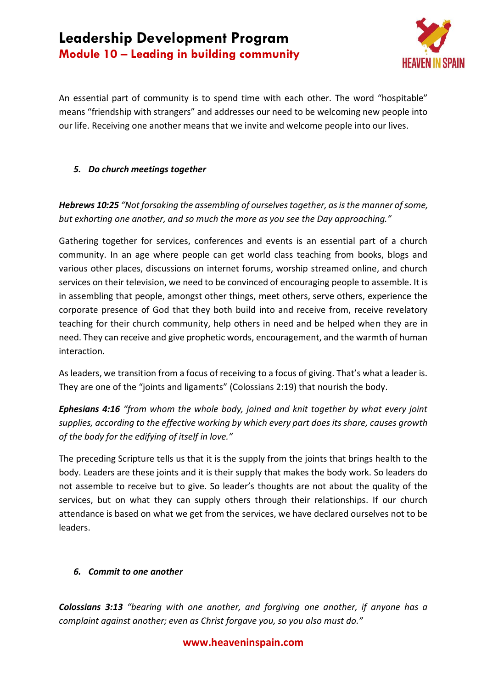

An essential part of community is to spend time with each other. The word "hospitable" means "friendship with strangers" and addresses our need to be welcoming new people into our life. Receiving one another means that we invite and welcome people into our lives.

## *5. Do church meetings together*

*Hebrews 10:25 "Not forsaking the assembling of ourselves together, as is the manner of some, but exhorting one another, and so much the more as you see the Day approaching."*

Gathering together for services, conferences and events is an essential part of a church community. In an age where people can get world class teaching from books, blogs and various other places, discussions on internet forums, worship streamed online, and church services on their television, we need to be convinced of encouraging people to assemble. It is in assembling that people, amongst other things, meet others, serve others, experience the corporate presence of God that they both build into and receive from, receive revelatory teaching for their church community, help others in need and be helped when they are in need. They can receive and give prophetic words, encouragement, and the warmth of human interaction.

As leaders, we transition from a focus of receiving to a focus of giving. That's what a leader is. They are one of the "joints and ligaments" (Colossians 2:19) that nourish the body.

*Ephesians 4:16 "from whom the whole body, joined and knit together by what every joint supplies, according to the effective working by which every part does its share, causes growth of the body for the edifying of itself in love."*

The preceding Scripture tells us that it is the supply from the joints that brings health to the body. Leaders are these joints and it is their supply that makes the body work. So leaders do not assemble to receive but to give. So leader's thoughts are not about the quality of the services, but on what they can supply others through their relationships. If our church attendance is based on what we get from the services, we have declared ourselves not to be leaders.

### *6. Commit to one another*

*Colossians 3:13 "bearing with one another, and forgiving one another, if anyone has a complaint against another; even as Christ forgave you, so you also must do."*